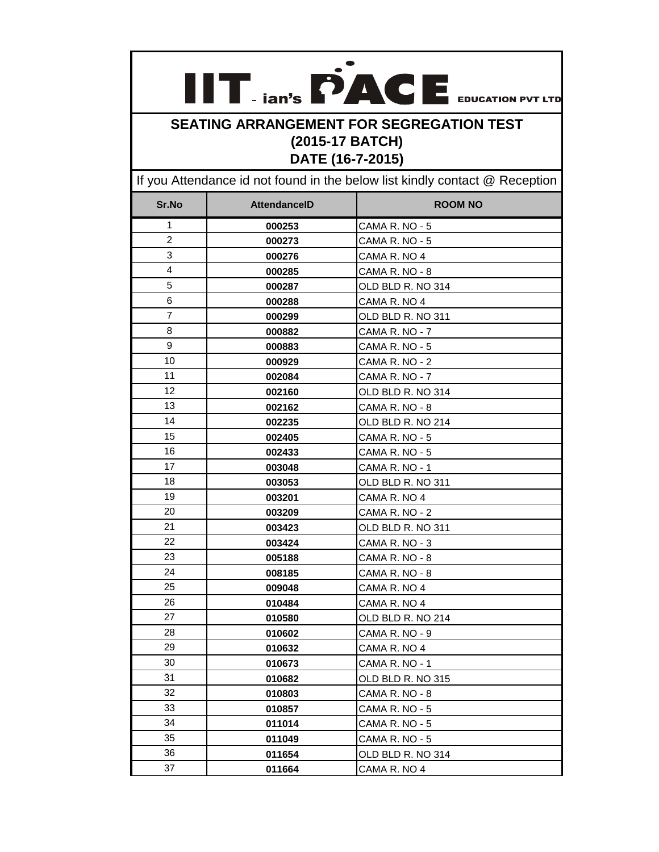| $\mathbb{R}^2$ | $-$ ian's $\blacksquare$ $\blacksquare$ | <b>EDUCATION PVT LTD</b> |
|----------------|-----------------------------------------|--------------------------|

## **SEATING ARRANGEMENT FOR SEGREGATION TEST (2015-17 BATCH) DATE (16-7-2015)**

If you Attendance id not found in the below list kindly contact @ Reception

| Sr.No          | <b>AttendanceID</b> | <b>ROOM NO</b>    |
|----------------|---------------------|-------------------|
| 1              | 000253              | CAMA R. NO - 5    |
| $\overline{2}$ | 000273              | CAMA R. NO - 5    |
| 3              | 000276              | CAMA R. NO 4      |
| 4              | 000285              | CAMA R. NO - 8    |
| 5              | 000287              | OLD BLD R. NO 314 |
| 6              | 000288              | CAMA R. NO 4      |
| 7              | 000299              | OLD BLD R. NO 311 |
| 8              | 000882              | CAMA R. NO - 7    |
| 9              | 000883              | CAMA R. NO - 5    |
| 10             | 000929              | CAMA R. NO - 2    |
| 11             | 002084              | CAMA R. NO - 7    |
| 12             | 002160              | OLD BLD R. NO 314 |
| 13             | 002162              | CAMA R. NO - 8    |
| 14             | 002235              | OLD BLD R. NO 214 |
| 15             | 002405              | CAMA R. NO - 5    |
| 16             | 002433              | CAMA R. NO - 5    |
| 17             | 003048              | CAMA R. NO - 1    |
| 18             | 003053              | OLD BLD R. NO 311 |
| 19             | 003201              | CAMA R. NO 4      |
| 20             | 003209              | CAMA R. NO - 2    |
| 21             | 003423              | OLD BLD R. NO 311 |
| 22             | 003424              | CAMA R. NO - 3    |
| 23             | 005188              | CAMA R. NO - 8    |
| 24             | 008185              | CAMA R. NO - 8    |
| 25             | 009048              | CAMA R. NO 4      |
| 26             | 010484              | CAMA R. NO 4      |
| 27             | 010580              | OLD BLD R. NO 214 |
| 28             | 010602              | CAMA R. NO - 9    |
| 29             | 010632              | CAMA R. NO 4      |
| 30             | 010673              | CAMA R. NO - 1    |
| 31             | 010682              | OLD BLD R. NO 315 |
| 32             | 010803              | CAMA R. NO - 8    |
| 33             | 010857              | CAMA R. NO - 5    |
| 34             | 011014              | CAMA R. NO - 5    |
| 35             | 011049              | CAMA R. NO - 5    |
| 36             | 011654              | OLD BLD R. NO 314 |
| 37             | 011664              | CAMA R. NO 4      |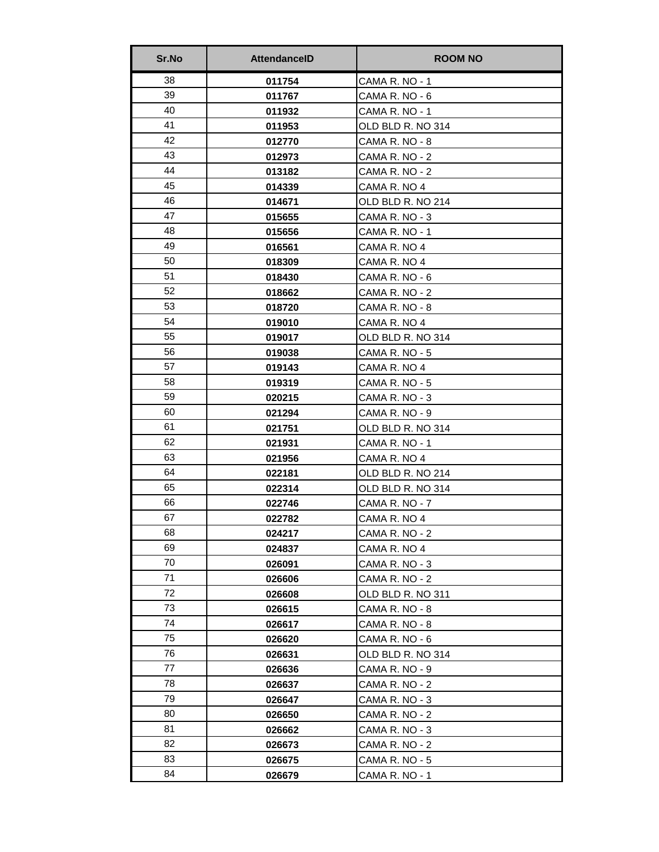| Sr.No | <b>AttendancelD</b> | <b>ROOM NO</b>    |
|-------|---------------------|-------------------|
| 38    | 011754              | CAMA R. NO - 1    |
| 39    | 011767              | CAMA R. NO - 6    |
| 40    | 011932              | CAMA R. NO - 1    |
| 41    | 011953              | OLD BLD R. NO 314 |
| 42    | 012770              | CAMA R. NO - 8    |
| 43    | 012973              | CAMA R. NO - 2    |
| 44    | 013182              | CAMA R. NO - 2    |
| 45    | 014339              | CAMA R. NO 4      |
| 46    | 014671              | OLD BLD R. NO 214 |
| 47    | 015655              | CAMA R. NO - 3    |
| 48    | 015656              | CAMA R. NO - 1    |
| 49    | 016561              | CAMA R. NO 4      |
| 50    | 018309              | CAMA R. NO 4      |
| 51    | 018430              | CAMA R. NO - 6    |
| 52    | 018662              | CAMA R. NO - 2    |
| 53    | 018720              | CAMA R. NO - 8    |
| 54    | 019010              | CAMA R. NO 4      |
| 55    | 019017              | OLD BLD R. NO 314 |
| 56    | 019038              | CAMA R. NO - 5    |
| 57    | 019143              | CAMA R. NO 4      |
| 58    | 019319              | CAMA R. NO - 5    |
| 59    | 020215              | CAMA R. NO - 3    |
| 60    | 021294              | CAMA R. NO - 9    |
| 61    | 021751              | OLD BLD R. NO 314 |
| 62    | 021931              | CAMA R. NO - 1    |
| 63    | 021956              | CAMA R. NO 4      |
| 64    | 022181              | OLD BLD R. NO 214 |
| 65    | 022314              | OLD BLD R. NO 314 |
| 66    | 022746              | CAMA R. NO - 7    |
| 67    | 022782              | CAMA R. NO 4      |
| 68    | 024217              | CAMA R. NO - 2    |
| 69    | 024837              | CAMA R. NO 4      |
| 70    | 026091              | CAMA R. NO - 3    |
| 71    | 026606              | CAMA R. NO - 2    |
| 72    | 026608              | OLD BLD R. NO 311 |
| 73    | 026615              | CAMA R. NO - 8    |
| 74    | 026617              | CAMA R. NO - 8    |
| 75    | 026620              | CAMA R. NO - 6    |
| 76    | 026631              | OLD BLD R. NO 314 |
| 77    | 026636              | CAMA R. NO - 9    |
| 78    | 026637              | CAMA R. NO - 2    |
| 79    | 026647              | CAMA R. NO - 3    |
| 80    | 026650              | CAMA R. NO - 2    |
| 81    | 026662              | CAMA R. NO - 3    |
| 82    | 026673              | CAMA R. NO - 2    |
| 83    | 026675              | CAMA R. NO - 5    |
| 84    | 026679              | CAMA R. NO - 1    |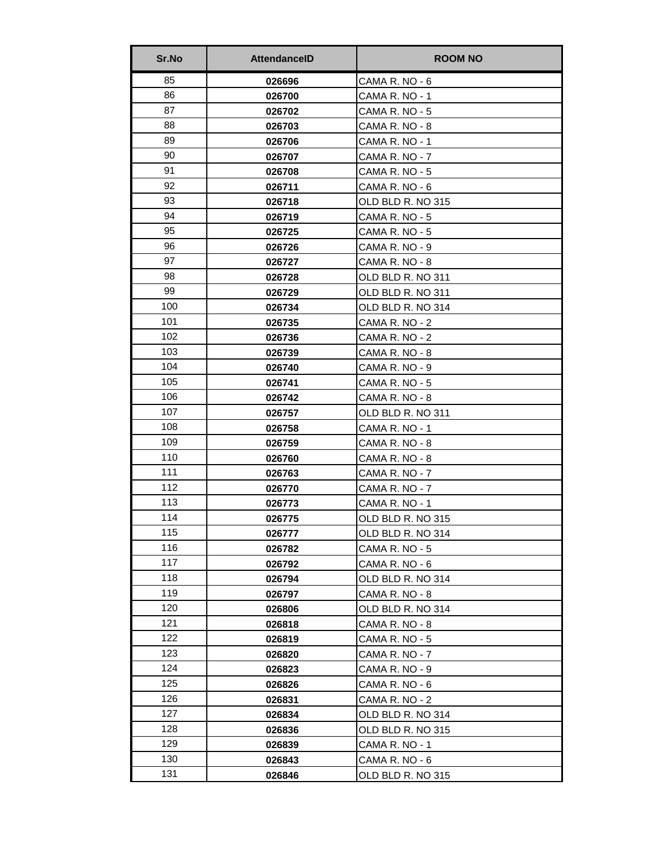| Sr.No | <b>AttendancelD</b> | <b>ROOM NO</b>    |
|-------|---------------------|-------------------|
| 85    | 026696              | CAMA R. NO - 6    |
| 86    | 026700              | CAMA R. NO - 1    |
| 87    | 026702              | CAMA R. NO - 5    |
| 88    | 026703              | CAMA R. NO - 8    |
| 89    | 026706              | CAMA R. NO - 1    |
| 90    | 026707              | CAMA R. NO - 7    |
| 91    | 026708              | CAMA R. NO - 5    |
| 92    | 026711              | CAMA R. NO - 6    |
| 93    | 026718              | OLD BLD R. NO 315 |
| 94    | 026719              | CAMA R. NO - 5    |
| 95    | 026725              | CAMA R. NO - 5    |
| 96    | 026726              | CAMA R. NO - 9    |
| 97    | 026727              | CAMA R. NO - 8    |
| 98    | 026728              | OLD BLD R. NO 311 |
| 99    | 026729              | OLD BLD R. NO 311 |
| 100   | 026734              | OLD BLD R. NO 314 |
| 101   | 026735              | CAMA R. NO - 2    |
| 102   | 026736              | CAMA R. NO - 2    |
| 103   | 026739              | CAMA R. NO - 8    |
| 104   | 026740              | CAMA R. NO - 9    |
| 105   | 026741              | CAMA R. NO - 5    |
| 106   | 026742              | CAMA R. NO - 8    |
| 107   | 026757              | OLD BLD R. NO 311 |
| 108   | 026758              | CAMA R. NO - 1    |
| 109   | 026759              | CAMA R. NO - 8    |
| 110   | 026760              | CAMA R. NO - 8    |
| 111   | 026763              | CAMA R. NO - 7    |
| 112   | 026770              | CAMA R. NO - 7    |
| 113   | 026773              | CAMA R. NO - 1    |
| 114   | 026775              | OLD BLD R. NO 315 |
| 115   | 026777              | OLD BLD R. NO 314 |
| 116   | 026782              | CAMA R. NO - 5    |
| 117   | 026792              | CAMA R. NO - 6    |
| 118   | 026794              | OLD BLD R. NO 314 |
| 119   | 026797              | CAMA R. NO - 8    |
| 120   | 026806              | OLD BLD R. NO 314 |
| 121   | 026818              | CAMA R. NO - 8    |
| 122   | 026819              | CAMA R. NO - 5    |
| 123   | 026820              | CAMA R. NO - 7    |
| 124   | 026823              | CAMA R. NO - 9    |
| 125   | 026826              | CAMA R. NO - 6    |
| 126   | 026831              | CAMA R. NO - 2    |
| 127   | 026834              | OLD BLD R. NO 314 |
| 128   | 026836              | OLD BLD R. NO 315 |
| 129   | 026839              | CAMA R. NO - 1    |
| 130   | 026843              | CAMA R. NO - 6    |
| 131   | 026846              | OLD BLD R. NO 315 |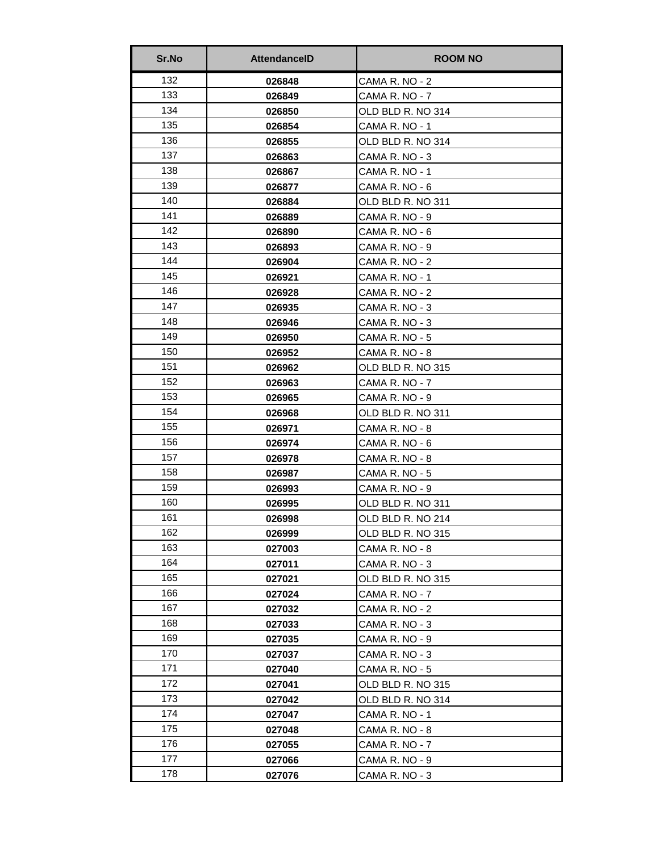| Sr.No | <b>AttendancelD</b> | <b>ROOM NO</b>    |
|-------|---------------------|-------------------|
| 132   | 026848              | CAMA R. NO - 2    |
| 133   | 026849              | CAMA R. NO - 7    |
| 134   | 026850              | OLD BLD R. NO 314 |
| 135   | 026854              | CAMA R. NO - 1    |
| 136   | 026855              | OLD BLD R. NO 314 |
| 137   | 026863              | CAMA R. NO - 3    |
| 138   | 026867              | CAMA R. NO - 1    |
| 139   | 026877              | CAMA R. NO - 6    |
| 140   | 026884              | OLD BLD R. NO 311 |
| 141   | 026889              | CAMA R. NO - 9    |
| 142   | 026890              | CAMA R. NO - 6    |
| 143   | 026893              | CAMA R. NO - 9    |
| 144   | 026904              | CAMA R. NO - 2    |
| 145   | 026921              | CAMA R. NO - 1    |
| 146   | 026928              | CAMA R. NO - 2    |
| 147   | 026935              | CAMA R. NO - 3    |
| 148   | 026946              | CAMA R. NO - 3    |
| 149   | 026950              | CAMA R. NO - 5    |
| 150   | 026952              | CAMA R. NO - 8    |
| 151   | 026962              | OLD BLD R. NO 315 |
| 152   | 026963              | CAMA R. NO - 7    |
| 153   | 026965              | CAMA R. NO - 9    |
| 154   | 026968              | OLD BLD R. NO 311 |
| 155   | 026971              | CAMA R. NO - 8    |
| 156   | 026974              | CAMA R. NO - 6    |
| 157   | 026978              | CAMA R. NO - 8    |
| 158   | 026987              | CAMA R. NO - 5    |
| 159   | 026993              | CAMA R. NO - 9    |
| 160   | 026995              | OLD BLD R. NO 311 |
| 161   | 026998              | OLD BLD R. NO 214 |
| 162   | 026999              | OLD BLD R. NO 315 |
| 163   | 027003              | CAMA R. NO - 8    |
| 164   | 027011              | CAMA R. NO - 3    |
| 165   | 027021              | OLD BLD R. NO 315 |
| 166   | 027024              | CAMA R. NO - 7    |
| 167   | 027032              | CAMA R. NO - 2    |
| 168   | 027033              | CAMA R. NO - 3    |
| 169   | 027035              | CAMA R. NO - 9    |
| 170   | 027037              | CAMA R. NO - 3    |
| 171   | 027040              | CAMA R. NO - 5    |
| 172   | 027041              | OLD BLD R. NO 315 |
| 173   | 027042              | OLD BLD R. NO 314 |
| 174   | 027047              | CAMA R. NO - 1    |
| 175   | 027048              | CAMA R. NO - 8    |
| 176   | 027055              | CAMA R. NO - 7    |
| 177   | 027066              | CAMA R. NO - 9    |
| 178   | 027076              | CAMA R. NO - 3    |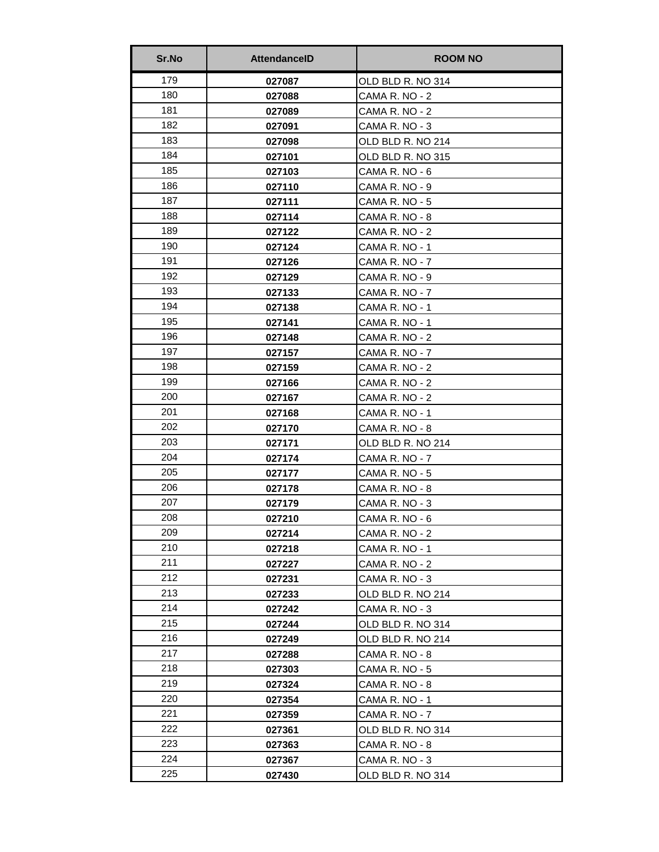| Sr.No | <b>AttendancelD</b> | <b>ROOM NO</b>    |
|-------|---------------------|-------------------|
| 179   | 027087              | OLD BLD R. NO 314 |
| 180   | 027088              | CAMA R. NO - 2    |
| 181   | 027089              | CAMA R. NO - 2    |
| 182   | 027091              | CAMA R. NO - 3    |
| 183   | 027098              | OLD BLD R. NO 214 |
| 184   | 027101              | OLD BLD R. NO 315 |
| 185   | 027103              | CAMA R. NO - 6    |
| 186   | 027110              | CAMA R. NO - 9    |
| 187   | 027111              | CAMA R. NO - 5    |
| 188   | 027114              | CAMA R. NO - 8    |
| 189   | 027122              | CAMA R. NO - 2    |
| 190   | 027124              | CAMA R. NO - 1    |
| 191   | 027126              | CAMA R. NO - 7    |
| 192   | 027129              | CAMA R. NO - 9    |
| 193   | 027133              | CAMA R. NO - 7    |
| 194   | 027138              | CAMA R. NO - 1    |
| 195   | 027141              | CAMA R. NO - 1    |
| 196   | 027148              | CAMA R. NO - 2    |
| 197   | 027157              | CAMA R. NO - 7    |
| 198   | 027159              | CAMA R. NO - 2    |
| 199   | 027166              | CAMA R. NO - 2    |
| 200   | 027167              | CAMA R. NO - 2    |
| 201   | 027168              | CAMA R. NO - 1    |
| 202   | 027170              | CAMA R. NO - 8    |
| 203   | 027171              | OLD BLD R. NO 214 |
| 204   | 027174              | CAMA R. NO - 7    |
| 205   | 027177              | CAMA R. NO - 5    |
| 206   | 027178              | CAMA R. NO - 8    |
| 207   | 027179              | CAMA R. NO - 3    |
| 208   | 027210              | CAMA R. NO - 6    |
| 209   | 027214              | CAMA R. NO - 2    |
| 210   | 027218              | CAMA R. NO - 1    |
| 211   | 027227              | CAMA R. NO - 2    |
| 212   | 027231              | CAMA R. NO - 3    |
| 213   | 027233              | OLD BLD R. NO 214 |
| 214   | 027242              | CAMA R. NO - 3    |
| 215   | 027244              | OLD BLD R. NO 314 |
| 216   | 027249              | OLD BLD R. NO 214 |
| 217   | 027288              | CAMA R. NO - 8    |
| 218   | 027303              | CAMA R. NO - 5    |
| 219   | 027324              | CAMA R. NO - 8    |
| 220   | 027354              | CAMA R. NO - 1    |
| 221   | 027359              | CAMA R. NO - 7    |
| 222   | 027361              | OLD BLD R. NO 314 |
| 223   | 027363              | CAMA R. NO - 8    |
| 224   | 027367              | CAMA R. NO - 3    |
| 225   | 027430              | OLD BLD R. NO 314 |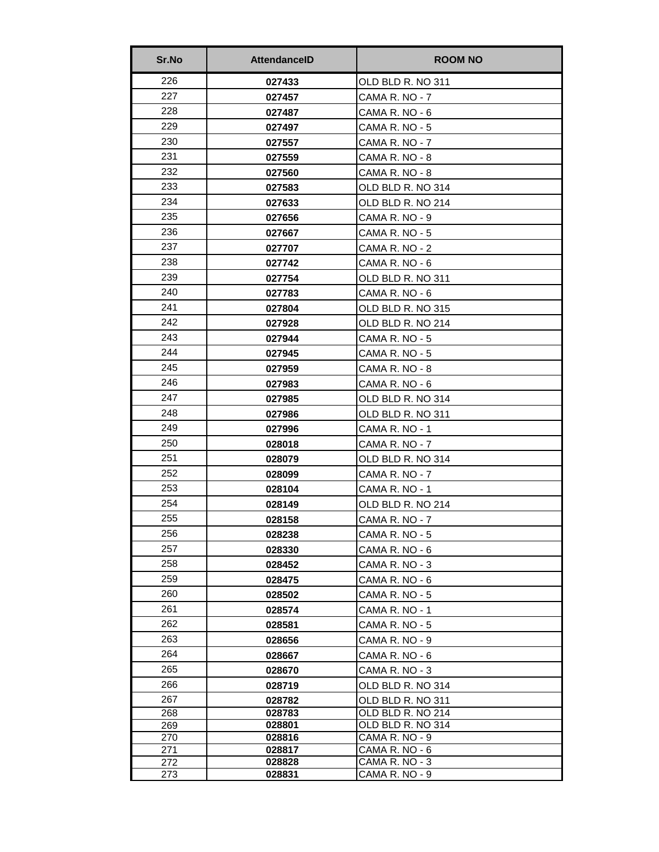| Sr.No      | <b>AttendanceID</b> | <b>ROOM NO</b>                   |
|------------|---------------------|----------------------------------|
| 226        | 027433              | OLD BLD R. NO 311                |
| 227        | 027457              | CAMA R. NO - 7                   |
| 228        | 027487              | CAMA R. NO - 6                   |
| 229        | 027497              | CAMA R. NO - 5                   |
| 230        | 027557              | CAMA R. NO - 7                   |
| 231        | 027559              | CAMA R. NO - 8                   |
| 232        | 027560              | CAMA R. NO - 8                   |
| 233        | 027583              | OLD BLD R. NO 314                |
| 234        | 027633              | OLD BLD R. NO 214                |
| 235        | 027656              | CAMA R. NO - 9                   |
| 236        | 027667              | CAMA R. NO - 5                   |
| 237        | 027707              | CAMA R. NO - 2                   |
| 238        | 027742              | CAMA R. NO - 6                   |
| 239        | 027754              | OLD BLD R. NO 311                |
| 240        | 027783              | CAMA R. NO - 6                   |
| 241        | 027804              | OLD BLD R. NO 315                |
| 242        | 027928              | OLD BLD R. NO 214                |
| 243        | 027944              | CAMA R. NO - 5                   |
| 244        | 027945              | CAMA R. NO - 5                   |
| 245        | 027959              | CAMA R. NO - 8                   |
| 246        | 027983              | CAMA R. NO - 6                   |
| 247        | 027985              | OLD BLD R. NO 314                |
| 248        | 027986              | OLD BLD R. NO 311                |
| 249        | 027996              | CAMA R. NO - 1                   |
| 250        | 028018              | CAMA R. NO - 7                   |
| 251        | 028079              | OLD BLD R. NO 314                |
| 252        | 028099              | CAMA R. NO - 7                   |
| 253        | 028104              | CAMA R. NO - 1                   |
| 254        | 028149              | OLD BLD R. NO 214                |
| 255        | 028158              | CAMA R. NO - 7                   |
| 256        | 028238              | CAMA R. NO - 5                   |
| 257        | 028330              | CAMA R. NO - 6                   |
| 258        | 028452              | CAMA R. NO - 3                   |
| 259        | 028475              | CAMA R. NO - 6                   |
| 260        | 028502              | CAMA R. NO - 5                   |
| 261        | 028574              | CAMA R. NO - 1                   |
| 262        | 028581              | CAMA R. NO - 5                   |
| 263        | 028656              | CAMA R. NO - 9                   |
| 264        | 028667              | CAMA R. NO - 6                   |
| 265        | 028670              | CAMA R. NO - 3                   |
| 266        | 028719              | OLD BLD R. NO 314                |
| 267        | 028782              | OLD BLD R. NO 311                |
| 268        | 028783              | OLD BLD R. NO 214                |
| 269        | 028801              | OLD BLD R. NO 314                |
| 270<br>271 | 028816<br>028817    | CAMA R. NO - 9<br>CAMA R. NO - 6 |
| 272        | 028828              | CAMA R. NO - 3                   |
| 273        | 028831              | CAMA R. NO - 9                   |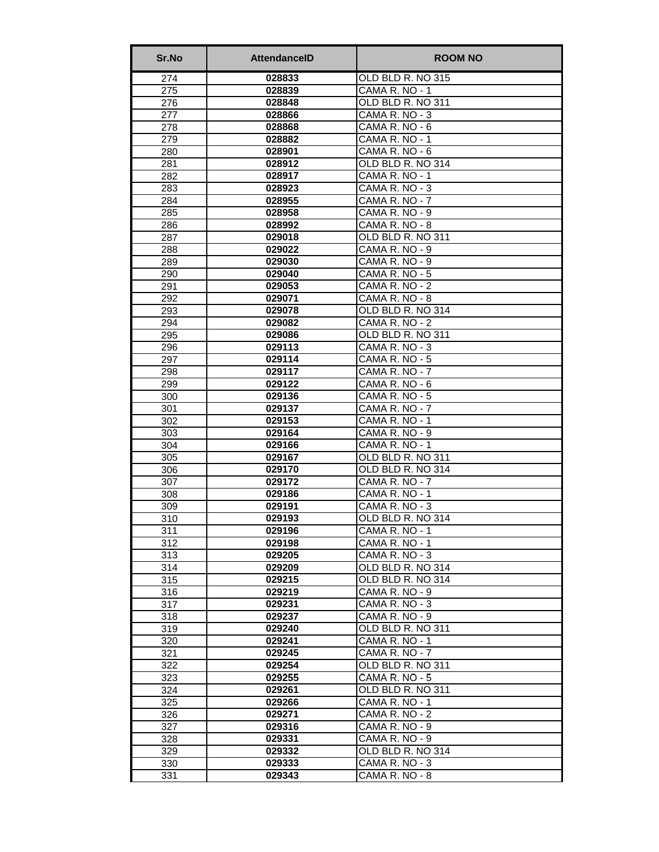| Sr.No      | <b>AttendanceID</b> | <b>ROOM NO</b>                       |
|------------|---------------------|--------------------------------------|
| 274        | 028833              | OLD BLD R. NO 315                    |
| 275        | 028839              | CAMA R. NO - 1                       |
| 276        | 028848              | OLD BLD R. NO 311                    |
| 277        | 028866              | CAMA R. NO - 3                       |
| 278        | 028868              | CAMA R. NO - 6                       |
| 279        | 028882              | CAMA R. NO - 1                       |
| 280        | 028901              | CAMA R. NO - 6                       |
| 281        | 028912              | OLD BLD R. NO 314                    |
| 282        | 028917              | CAMA R. NO - 1                       |
| 283        | 028923              | CAMA R. NO - 3                       |
| 284        | 028955              | CAMA R. NO - 7                       |
| 285        | 028958              | CAMA R. NO - 9                       |
| 286        | 028992              | CAMA R. NO - 8                       |
| 287        | 029018              | OLD BLD R. NO 311                    |
| 288        | 029022              | CAMA R. NO - 9                       |
| 289        | 029030              | CAMA R. NO - 9                       |
| 290        | 029040              | CAMA R. NO - 5                       |
| 291        | 029053              | CAMA R. NO - 2                       |
| 292        | 029071              | CAMA R. NO - 8                       |
| 293        | 029078              | OLD BLD R. NO 314                    |
| 294        | 029082              | CAMA R. NO - 2                       |
| 295        | 029086              | OLD BLD R. NO 311                    |
| 296        | 029113              | CAMA R. NO - 3                       |
| 297        | 029114              | CAMA R. NO - 5                       |
| 298        | 029117              | CAMA R. NO - 7                       |
| 299        | 029122              | CAMA R. NO - 6                       |
| 300        | 029136              | CAMA R. NO - 5                       |
| 301        | 029137              | CAMA R. NO - 7                       |
| 302        | 029153              | CAMA R. NO - 1                       |
| 303        | 029164              | CAMA R. NO - 9                       |
| 304        | 029166              | CAMA R. NO - 1                       |
| 305        | 029167              | OLD BLD R. NO 311                    |
| 306        | 029170              | OLD BLD R. NO 314                    |
| 307        | 029172              | CAMA R. NO - 7                       |
| 308        | 029186              | CAMA R. NO - 1                       |
| 309        | 029191              | CAMA R. NO - 3                       |
| 310        | 029193              | OLD BLD R. NO 314                    |
| 311        | 029196              | CAMA R. NO - 1                       |
| 312        | 029198              | CAMA R. NO - 1                       |
| 313        | 029205              | CAMA R. NO - 3                       |
| 314        | 029209              | OLD BLD R. NO 314                    |
| 315<br>316 | 029215<br>029219    | OLD BLD R. NO 314<br>CAMA R. NO - 9  |
|            | 029231              | CAMA R. NO - 3                       |
| 317<br>318 | 029237              | CAMA R. NO - 9                       |
| 319        | 029240              | OLD BLD R. NO 311                    |
|            | 029241              | CAMA R. NO - 1                       |
| 320        | 029245              |                                      |
| 321<br>322 |                     | CAMA R. NO - 7<br>OLD BLD R. NO 311  |
|            | 029254<br>029255    | CAMA R. NO - 5                       |
| 323<br>324 |                     | OLD BLD R. NO 311                    |
|            | 029261<br>029266    | CAMA R. NO - 1                       |
| 325        | 029271              | CAMA R. NO - 2                       |
| 326        |                     |                                      |
| 327        | 029316<br>029331    | CAMA R. NO - 9<br>CAMA R. NO - 9     |
| 328        | 029332              | OLD BLD R. NO 314                    |
| 329        |                     |                                      |
| 330        | 029333              | CAMA R. NO - 3                       |
| 331        | 029343              | $\overline{\mathsf{CAMA}}$ R. NO - 8 |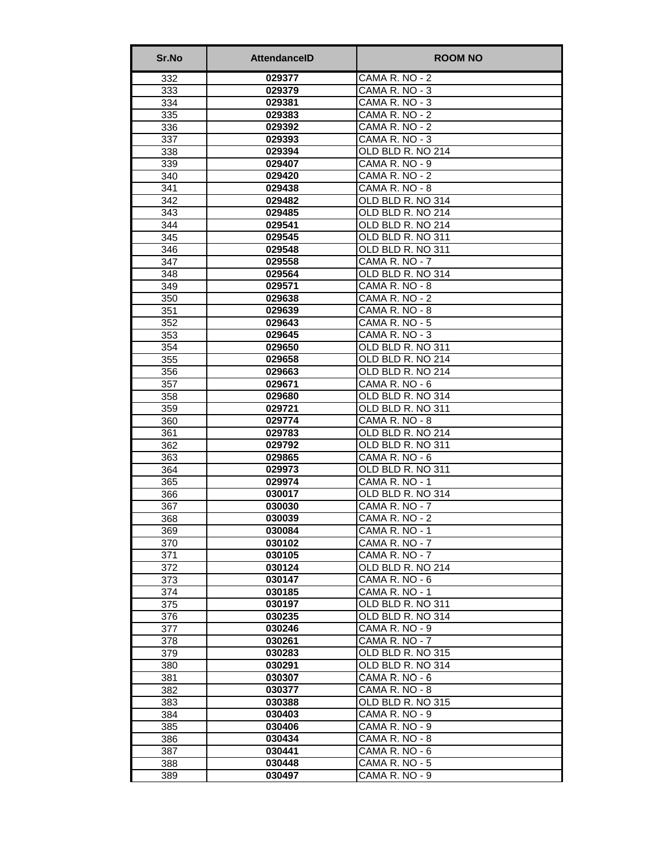| Sr.No | <b>AttendancelD</b> | <b>ROOM NO</b>    |
|-------|---------------------|-------------------|
| 332   | 029377              | CAMA R. NO - 2    |
| 333   | 029379              | CAMA R. NO - 3    |
| 334   | 029381              | CAMA R. NO - 3    |
| 335   | 029383              | CAMA R. NO - 2    |
| 336   | 029392              | CAMA R. NO - 2    |
| 337   | 029393              | CAMA R. NO - 3    |
| 338   | 029394              | OLD BLD R. NO 214 |
| 339   | 029407              | CAMA R. NO - 9    |
| 340   | 029420              | CAMA R. NO - 2    |
| 341   | 029438              | CAMA R. NO - 8    |
| 342   | 029482              | OLD BLD R. NO 314 |
| 343   | 029485              | OLD BLD R. NO 214 |
| 344   | 029541              | OLD BLD R. NO 214 |
| 345   | 029545              | OLD BLD R. NO 311 |
| 346   | 029548              | OLD BLD R. NO 311 |
| 347   | 029558              | CAMA R. NO - 7    |
| 348   | 029564              | OLD BLD R. NO 314 |
| 349   | 029571              | CAMA R. NO - 8    |
| 350   | 029638              | CAMA R. NO - 2    |
| 351   | 029639              | CAMA R. NO - 8    |
| 352   | 029643              | CAMA R. NO - 5    |
| 353   | 029645              | CAMA R. NO - 3    |
| 354   | 029650              | OLD BLD R. NO 311 |
| 355   | 029658              | OLD BLD R. NO 214 |
| 356   | 029663              | OLD BLD R. NO 214 |
| 357   | 029671              | CAMA R. NO - 6    |
| 358   | 029680              | OLD BLD R. NO 314 |
| 359   | 029721              | OLD BLD R. NO 311 |
| 360   | 029774              | CAMA R. NO - 8    |
| 361   | 029783              | OLD BLD R. NO 214 |
| 362   | 029792              | OLD BLD R. NO 311 |
| 363   | 029865              | CAMA R. NO - 6    |
| 364   | 029973              | OLD BLD R. NO 311 |
| 365   | 029974              | CAMA R. NO - 1    |
| 366   | 030017              | OLD BLD R. NO 314 |
| 367   | 030030              | CAMA R. NO - 7    |
| 368   | 030039              | CAMA R. NO - 2    |
| 369   | 030084              | CAMA R. NO - 1    |
| 370   | 030102              | CAMA R. NO - 7    |
| 371   | 030105              | CAMA R. NO - 7    |
| 372   | 030124              | OLD BLD R. NO 214 |
| 373   | 030147              | CAMA R. NO - 6    |
| 374   | 030185              | CAMA R. NO - 1    |
| 375   | 030197              | OLD BLD R. NO 311 |
| 376   | 030235              | OLD BLD R. NO 314 |
| 377   | 030246              | CAMA R. NO - 9    |
| 378   | 030261              | CAMA R. NO - 7    |
| 379   | 030283              | OLD BLD R. NO 315 |
| 380   | 030291              | OLD BLD R. NO 314 |
| 381   | 030307              | CAMA R. NO - 6    |
| 382   | 030377              | CAMA R. NO - 8    |
| 383   | 030388              | OLD BLD R. NO 315 |
| 384   | 030403              | CAMA R. NO - 9    |
| 385   | 030406              | CAMA R. NO - 9    |
| 386   | 030434              | CAMA R. NO - 8    |
| 387   | 030441              | CAMA R. NO - 6    |
| 388   | 030448              | CAMA R. NO - 5    |
| 389   | 030497              | CAMA R. NO - 9    |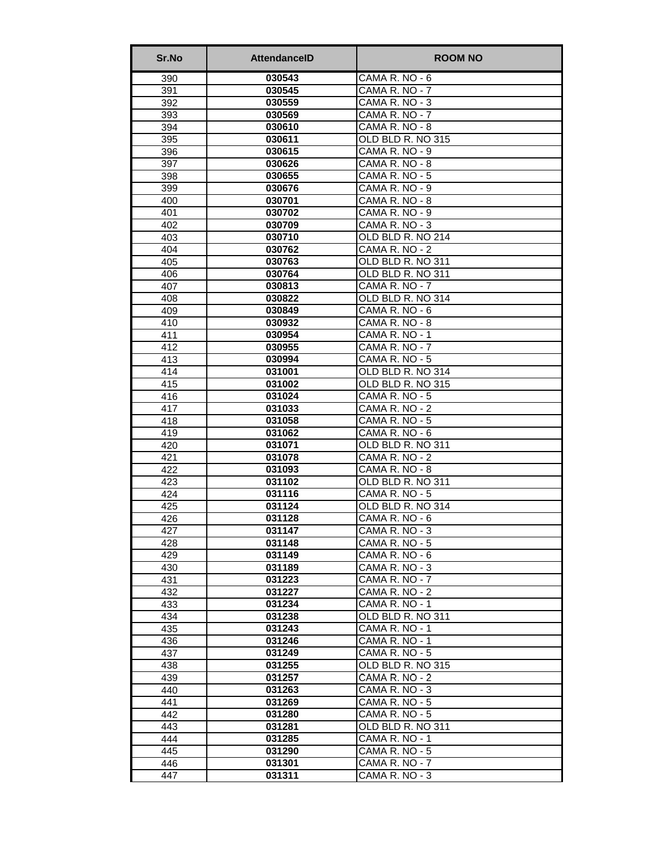| 030543<br>CAMA R. NO - 6<br>390<br>391<br>030545<br>CAMA R. NO - 7<br>392<br>CAMA R. NO - 3<br>030559 |  |
|-------------------------------------------------------------------------------------------------------|--|
|                                                                                                       |  |
|                                                                                                       |  |
|                                                                                                       |  |
| 393<br>030569<br>CAMA R. NO - 7                                                                       |  |
| 394<br>CAMA R. NO - 8<br>030610                                                                       |  |
| OLD BLD R. NO 315<br>395<br>030611                                                                    |  |
| CAMA R. NO - 9<br>396<br>030615                                                                       |  |
| 397<br>030626<br>CAMA R. NO - 8                                                                       |  |
| CAMA R. NO - 5<br>398<br>030655                                                                       |  |
| 030676<br>CAMA R. NO - 9<br>399                                                                       |  |
| 030701<br>CAMA R. NO - 8<br>400                                                                       |  |
| 401<br>030702<br>CAMA R. NO - 9                                                                       |  |
| 030709<br>CAMA R. NO - 3<br>402                                                                       |  |
| 030710<br>OLD BLD R. NO 214<br>403                                                                    |  |
| CAMA R. NO - 2<br>404<br>030762                                                                       |  |
| 030763<br>OLD BLD R. NO 311<br>405                                                                    |  |
| OLD BLD R. NO 311<br>030764<br>406                                                                    |  |
| CAMA R. NO - 7<br>407<br>030813                                                                       |  |
| 030822<br>OLD BLD R. NO 314<br>408                                                                    |  |
| CAMA R. NO - 6<br>030849<br>409                                                                       |  |
| 410<br>030932<br>CAMA R. NO - 8                                                                       |  |
| CAMA R. NO - 1<br>411<br>030954                                                                       |  |
| 412<br>030955<br>CAMA R. NO - 7                                                                       |  |
| 413<br>CAMA R. NO - 5<br>030994                                                                       |  |
| OLD BLD R. NO 314<br>414<br>031001                                                                    |  |
| OLD BLD R. NO 315<br>415<br>031002                                                                    |  |
| CAMA R. NO - 5<br>031024<br>416                                                                       |  |
| 417<br>031033<br>CAMA R. NO - 2                                                                       |  |
| 031058<br>CAMA R. NO - 5<br>418                                                                       |  |
| 419<br>CAMA R. NO - 6<br>031062                                                                       |  |
| 420<br>031071<br>OLD BLD R. NO 311                                                                    |  |
| 031078<br>CAMA R. NO - 2<br>421                                                                       |  |
| 422<br>031093<br>CAMA R. NO - 8                                                                       |  |
| 031102<br>OLD BLD R. NO 311<br>423<br>424<br>031116<br>CAMA R. NO - 5                                 |  |
| 425<br>031124<br>OLD BLD R. NO 314                                                                    |  |
| 426<br>CAMA R. NO - 6<br>031128                                                                       |  |
| 427<br>031147<br>CAMA R. NO - 3                                                                       |  |
| 428<br>031148<br>CAMA R. NO - 5                                                                       |  |
| 429<br>031149<br>CAMA R. NO - 6                                                                       |  |
| 031189<br>430<br>CAMA R. NO - 3                                                                       |  |
| 431<br>031223<br>CAMA R. NO - 7                                                                       |  |
| 432<br>031227<br>CAMA R. NO - 2                                                                       |  |
| 031234<br>CAMA R. NO - 1<br>433                                                                       |  |
| OLD BLD R. NO 311<br>434<br>031238                                                                    |  |
| 031243<br>CAMA R. NO - 1<br>435                                                                       |  |
| CAMA R. NO - 1<br>436<br>031246                                                                       |  |
| 437<br>031249<br>CAMA R. NO - 5                                                                       |  |
| 438<br>OLD BLD R. NO 315<br>031255                                                                    |  |
| 031257<br>CAMA R. NO - 2<br>439                                                                       |  |
| 440<br>CAMA R. NO - 3<br>031263                                                                       |  |
| 031269<br>CAMA R. NO - 5<br>441                                                                       |  |
| 442<br>031280<br>CAMA R. NO - 5                                                                       |  |
| OLD BLD R. NO 311<br>443<br>031281                                                                    |  |
| 031285<br>CAMA R. NO - 1<br>444                                                                       |  |
| CAMA R. NO - 5<br>445<br>031290                                                                       |  |
| 446<br>031301<br>CAMA R. NO - 7                                                                       |  |
| 447<br>031311<br>CAMA R. NO - 3                                                                       |  |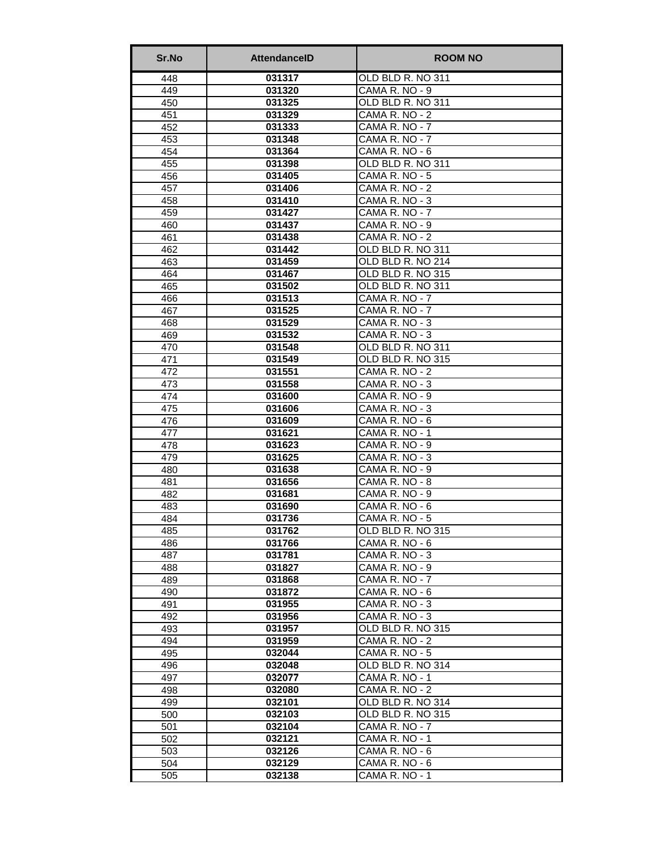| Sr.No      | <b>AttendancelD</b> | <b>ROOM NO</b>                   |
|------------|---------------------|----------------------------------|
| 448        | 031317              | OLD BLD R. NO 311                |
| 449        | 031320              | CAMA R. NO - 9                   |
| 450        | 031325              | OLD BLD R. NO 311                |
| 451        | 031329              | CAMA R. NO - 2                   |
| 452        | 031333              | $\overline{CAMA}$ R. NO - 7      |
| 453        | 031348              | CAMA R. NO - 7                   |
| 454        | 031364              | CAMA R. NO - 6                   |
| 455        | 031398              | OLD BLD R. NO 311                |
| 456        | 031405<br>031406    | CAMA R. NO - 5<br>CAMA R. NO - 2 |
| 457<br>458 | 031410              | CAMA R. NO - 3                   |
| 459        | 031427              | CAMA R. NO - 7                   |
| 460        | 031437              | CAMA R. NO - 9                   |
| 461        | 031438              | CAMA R. NO - 2                   |
| 462        | 031442              | OLD BLD R. NO 311                |
| 463        | 031459              | OLD BLD R. NO 214                |
| 464        | 031467              | OLD BLD R. NO 315                |
| 465        | 031502              | OLD BLD R. NO 311                |
| 466        | 031513              | CAMA R. NO - 7                   |
| 467        | 031525              | CAMA R. NO - 7                   |
| 468        | 031529              | CAMA R. NO - 3                   |
| 469        | 031532              | CAMA R. NO - 3                   |
| 470        | 031548              | OLD BLD R. NO 311                |
| 471        | 031549              | OLD BLD R. NO 315                |
| 472        | 031551              | CAMA R. NO - 2                   |
| 473        | 031558              | CAMA R. NO - 3                   |
| 474        | 031600              | CAMA R. NO - 9                   |
| 475        | 031606              | CAMA R. NO - 3                   |
| 476        | 031609              | CAMA R. NO - 6                   |
| 477        | 031621              | CAMA R. NO - 1                   |
| 478        | 031623              | CAMA R. NO - 9                   |
| 479        | 031625              | CAMA R. NO - 3                   |
| 480        | 031638              | CAMA R. NO - 9                   |
| 481        | 031656              | CAMA R. NO - 8                   |
| 482        | 031681              | CAMA R. NO - 9                   |
| 483<br>484 | 031690<br>031736    | CAMA R. NO - 6<br>CAMA R. NO - 5 |
| 485        | 031762              | OLD BLD R. NO 315                |
| 486        | 031766              | CAMA R. NO - 6                   |
| 487        | 031781              | CAMA R. NO - 3                   |
| 488        | 031827              | CAMA R. NO - 9                   |
| 489        | 031868              | CAMA R. NO - 7                   |
| 490        | 031872              | CAMA R. NO - 6                   |
| 491        | 031955              | CAMA R. NO - 3                   |
| 492        | 031956              | CAMA R. NO - 3                   |
| 493        | 031957              | OLD BLD R. NO 315                |
| 494        | 031959              | CAMA R. NO - 2                   |
| 495        | 032044              | CAMA R. NO - 5                   |
| 496        | 032048              | OLD BLD R. NO 314                |
| 497        | 032077              | CAMA R. NO - 1                   |
| 498        | 032080              | CAMA R. NO - 2                   |
| 499        | 032101              | OLD BLD R. NO 314                |
| 500        | 032103              | OLD BLD R. NO 315                |
| 501        | 032104              | CAMA R. NO - 7                   |
| 502        | 032121              | CAMA R. NO - 1                   |
| 503        | 032126              | CAMA R. NO - 6                   |
| 504        | 032129              | CAMA R. NO - 6                   |
| 505        | 032138              | CAMA R. NO - 1                   |